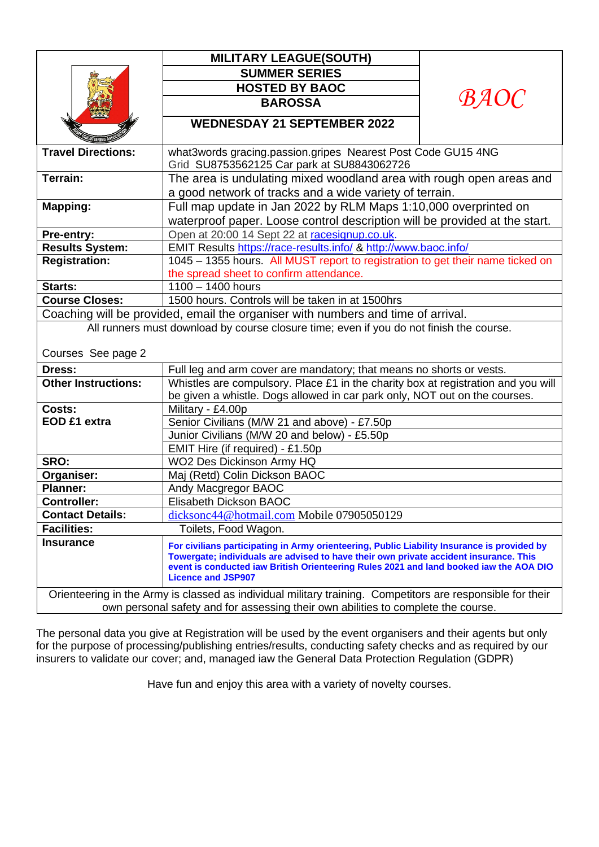|                                                                                                                                                                                                 | <b>MILITARY LEAGUE(SOUTH)</b>                                                                                                                                                                                                                                                                               |             |
|-------------------------------------------------------------------------------------------------------------------------------------------------------------------------------------------------|-------------------------------------------------------------------------------------------------------------------------------------------------------------------------------------------------------------------------------------------------------------------------------------------------------------|-------------|
|                                                                                                                                                                                                 | <b>SUMMER SERIES</b>                                                                                                                                                                                                                                                                                        | <i>BAOC</i> |
|                                                                                                                                                                                                 | <b>HOSTED BY BAOC</b>                                                                                                                                                                                                                                                                                       |             |
|                                                                                                                                                                                                 | <b>BAROSSA</b>                                                                                                                                                                                                                                                                                              |             |
|                                                                                                                                                                                                 | <b>WEDNESDAY 21 SEPTEMBER 2022</b>                                                                                                                                                                                                                                                                          |             |
| <b>Travel Directions:</b>                                                                                                                                                                       | what3words gracing.passion.gripes Nearest Post Code GU15 4NG<br>Grid SU8753562125 Car park at SU8843062726                                                                                                                                                                                                  |             |
| Terrain:                                                                                                                                                                                        | The area is undulating mixed woodland area with rough open areas and                                                                                                                                                                                                                                        |             |
|                                                                                                                                                                                                 | a good network of tracks and a wide variety of terrain.                                                                                                                                                                                                                                                     |             |
| <b>Mapping:</b>                                                                                                                                                                                 | Full map update in Jan 2022 by RLM Maps 1:10,000 overprinted on                                                                                                                                                                                                                                             |             |
|                                                                                                                                                                                                 | waterproof paper. Loose control description will be provided at the start.                                                                                                                                                                                                                                  |             |
| Pre-entry:                                                                                                                                                                                      | Open at 20:00 14 Sept 22 at racesignup.co.uk.                                                                                                                                                                                                                                                               |             |
| <b>Results System:</b>                                                                                                                                                                          | EMIT Results https://race-results.info/ & http://www.baoc.info/                                                                                                                                                                                                                                             |             |
| <b>Registration:</b>                                                                                                                                                                            | 1045 - 1355 hours. All MUST report to registration to get their name ticked on                                                                                                                                                                                                                              |             |
|                                                                                                                                                                                                 | the spread sheet to confirm attendance.                                                                                                                                                                                                                                                                     |             |
| Starts:                                                                                                                                                                                         | $1100 - 1400$ hours                                                                                                                                                                                                                                                                                         |             |
| <b>Course Closes:</b>                                                                                                                                                                           | 1500 hours. Controls will be taken in at 1500hrs                                                                                                                                                                                                                                                            |             |
| Coaching will be provided, email the organiser with numbers and time of arrival.                                                                                                                |                                                                                                                                                                                                                                                                                                             |             |
| All runners must download by course closure time; even if you do not finish the course.                                                                                                         |                                                                                                                                                                                                                                                                                                             |             |
| Courses See page 2                                                                                                                                                                              |                                                                                                                                                                                                                                                                                                             |             |
| Dress:                                                                                                                                                                                          | Full leg and arm cover are mandatory; that means no shorts or vests.                                                                                                                                                                                                                                        |             |
| <b>Other Instructions:</b>                                                                                                                                                                      | Whistles are compulsory. Place £1 in the charity box at registration and you will<br>be given a whistle. Dogs allowed in car park only, NOT out on the courses.                                                                                                                                             |             |
| Costs:                                                                                                                                                                                          | Military - £4.00p                                                                                                                                                                                                                                                                                           |             |
| EOD £1 extra                                                                                                                                                                                    | Senior Civilians (M/W 21 and above) - £7.50p                                                                                                                                                                                                                                                                |             |
|                                                                                                                                                                                                 | Junior Civilians (M/W 20 and below) - £5.50p                                                                                                                                                                                                                                                                |             |
|                                                                                                                                                                                                 | EMIT Hire (if required) - £1.50p                                                                                                                                                                                                                                                                            |             |
| SRO:                                                                                                                                                                                            | WO2 Des Dickinson Army HQ                                                                                                                                                                                                                                                                                   |             |
| Organiser:                                                                                                                                                                                      | Maj (Retd) Colin Dickson BAOC                                                                                                                                                                                                                                                                               |             |
| <b>Planner:</b>                                                                                                                                                                                 | Andy Macgregor BAOC                                                                                                                                                                                                                                                                                         |             |
| Controller:                                                                                                                                                                                     | Elisabeth Dickson BAOC                                                                                                                                                                                                                                                                                      |             |
| <b>Contact Details:</b>                                                                                                                                                                         | dicksonc44@hotmail.com Mobile 07905050129                                                                                                                                                                                                                                                                   |             |
| <b>Facilities:</b>                                                                                                                                                                              | Toilets, Food Wagon.                                                                                                                                                                                                                                                                                        |             |
| <b>Insurance</b>                                                                                                                                                                                | For civilians participating in Army orienteering, Public Liability Insurance is provided by<br>Towergate; individuals are advised to have their own private accident insurance. This<br>event is conducted iaw British Orienteering Rules 2021 and land booked iaw the AOA DIO<br><b>Licence and JSP907</b> |             |
| Orienteering in the Army is classed as individual military training. Competitors are responsible for their<br>own personal safety and for assessing their own abilities to complete the course. |                                                                                                                                                                                                                                                                                                             |             |

The personal data you give at Registration will be used by the event organisers and their agents but only for the purpose of processing/publishing entries/results, conducting safety checks and as required by our insurers to validate our cover; and, managed iaw the General Data Protection Regulation (GDPR)

Have fun and enjoy this area with a variety of novelty courses.